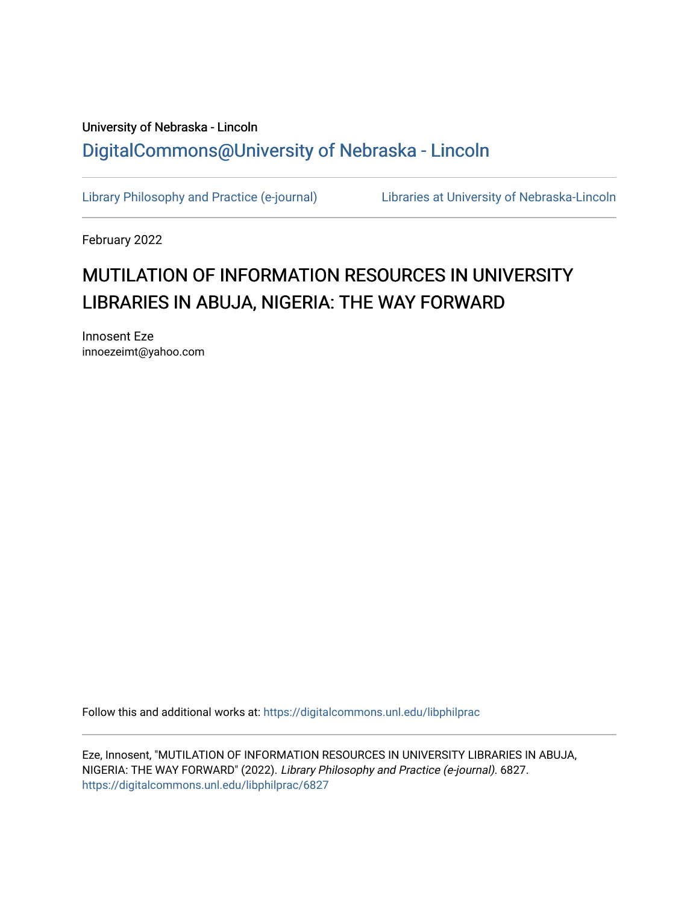## University of Nebraska - Lincoln [DigitalCommons@University of Nebraska - Lincoln](https://digitalcommons.unl.edu/)

[Library Philosophy and Practice \(e-journal\)](https://digitalcommons.unl.edu/libphilprac) [Libraries at University of Nebraska-Lincoln](https://digitalcommons.unl.edu/libraries) 

February 2022

# MUTILATION OF INFORMATION RESOURCES IN UNIVERSITY LIBRARIES IN ABUJA, NIGERIA: THE WAY FORWARD

Innosent Eze innoezeimt@yahoo.com

Follow this and additional works at: [https://digitalcommons.unl.edu/libphilprac](https://digitalcommons.unl.edu/libphilprac?utm_source=digitalcommons.unl.edu%2Flibphilprac%2F6827&utm_medium=PDF&utm_campaign=PDFCoverPages) 

Eze, Innosent, "MUTILATION OF INFORMATION RESOURCES IN UNIVERSITY LIBRARIES IN ABUJA, NIGERIA: THE WAY FORWARD" (2022). Library Philosophy and Practice (e-journal). 6827. [https://digitalcommons.unl.edu/libphilprac/6827](https://digitalcommons.unl.edu/libphilprac/6827?utm_source=digitalcommons.unl.edu%2Flibphilprac%2F6827&utm_medium=PDF&utm_campaign=PDFCoverPages)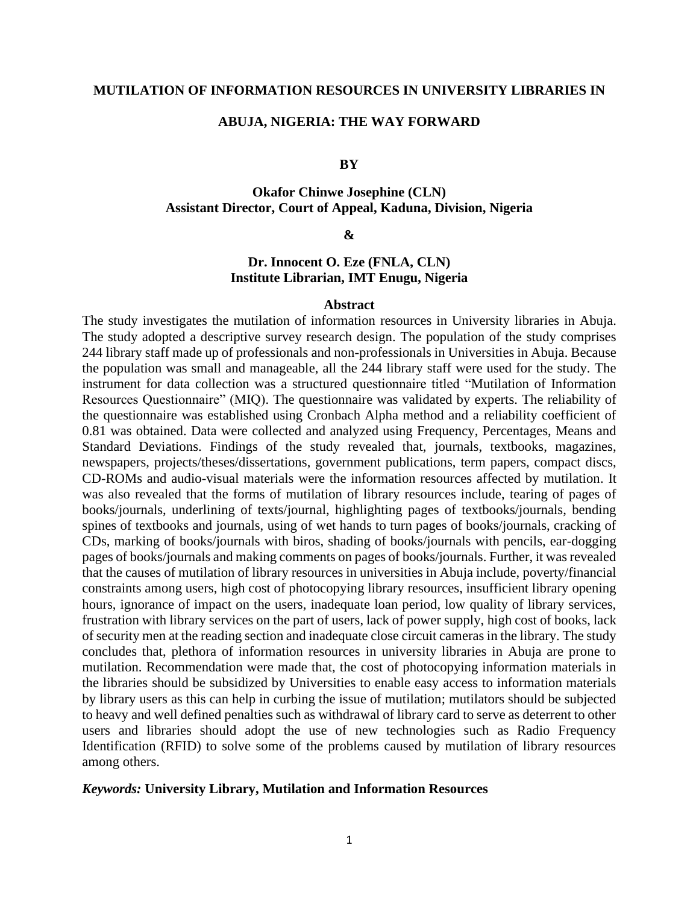## **MUTILATION OF INFORMATION RESOURCES IN UNIVERSITY LIBRARIES IN**

#### **ABUJA, NIGERIA: THE WAY FORWARD**

## **BY**

## **Okafor Chinwe Josephine (CLN) Assistant Director, Court of Appeal, Kaduna, Division, Nigeria**

## **&**

## **Dr. Innocent O. Eze (FNLA, CLN) Institute Librarian, IMT Enugu, Nigeria**

#### **Abstract**

The study investigates the mutilation of information resources in University libraries in Abuja. The study adopted a descriptive survey research design. The population of the study comprises 244 library staff made up of professionals and non-professionals in Universities in Abuja. Because the population was small and manageable, all the 244 library staff were used for the study. The instrument for data collection was a structured questionnaire titled "Mutilation of Information Resources Questionnaire" (MIQ). The questionnaire was validated by experts. The reliability of the questionnaire was established using Cronbach Alpha method and a reliability coefficient of 0.81 was obtained. Data were collected and analyzed using Frequency, Percentages, Means and Standard Deviations. Findings of the study revealed that, journals, textbooks, magazines, newspapers, projects/theses/dissertations, government publications, term papers, compact discs, CD-ROMs and audio-visual materials were the information resources affected by mutilation. It was also revealed that the forms of mutilation of library resources include, tearing of pages of books/journals, underlining of texts/journal, highlighting pages of textbooks/journals, bending spines of textbooks and journals, using of wet hands to turn pages of books/journals, cracking of CDs, marking of books/journals with biros, shading of books/journals with pencils, ear-dogging pages of books/journals and making comments on pages of books/journals. Further, it was revealed that the causes of mutilation of library resources in universities in Abuja include, poverty/financial constraints among users, high cost of photocopying library resources, insufficient library opening hours, ignorance of impact on the users, inadequate loan period, low quality of library services, frustration with library services on the part of users, lack of power supply, high cost of books, lack of security men at the reading section and inadequate close circuit cameras in the library. The study concludes that, plethora of information resources in university libraries in Abuja are prone to mutilation. Recommendation were made that, the cost of photocopying information materials in the libraries should be subsidized by Universities to enable easy access to information materials by library users as this can help in curbing the issue of mutilation; mutilators should be subjected to heavy and well defined penalties such as withdrawal of library card to serve as deterrent to other users and libraries should adopt the use of new technologies such as Radio Frequency Identification (RFID) to solve some of the problems caused by mutilation of library resources among others.

#### *Keywords:* **University Library, Mutilation and Information Resources**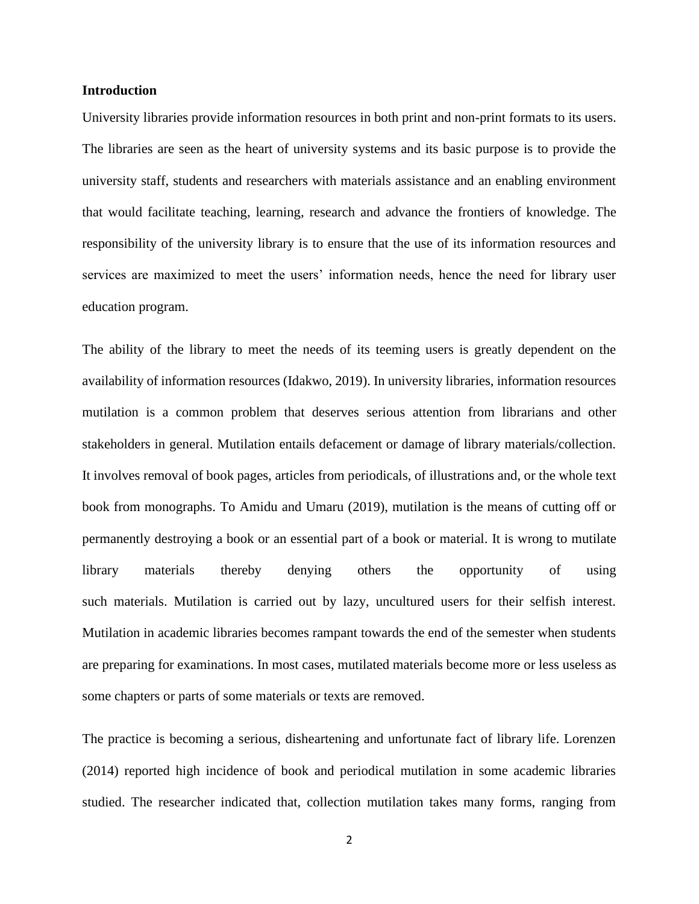## **Introduction**

University libraries provide information resources in both print and non-print formats to its users. The libraries are seen as the heart of university systems and its basic purpose is to provide the university staff, students and researchers with materials assistance and an enabling environment that would facilitate teaching, learning, research and advance the frontiers of knowledge. The responsibility of the university library is to ensure that the use of its information resources and services are maximized to meet the users' information needs, hence the need for library user education program.

The ability of the library to meet the needs of its teeming users is greatly dependent on the availability of information resources (Idakwo, 2019). In university libraries, information resources mutilation is a common problem that deserves serious attention from librarians and other stakeholders in general. Mutilation entails defacement or damage of library materials/collection. It involves removal of book pages, articles from periodicals, of illustrations and, or the whole text book from monographs. To Amidu and Umaru (2019), mutilation is the means of cutting off or permanently destroying a book or an essential part of a book or material. It is wrong to mutilate library materials thereby denying others the opportunity of using such materials. Mutilation is carried out by lazy, uncultured users for their selfish interest. Mutilation in academic libraries becomes rampant towards the end of the semester when students are preparing for examinations. In most cases, mutilated materials become more or less useless as some chapters or parts of some materials or texts are removed.

The practice is becoming a serious, disheartening and unfortunate fact of library life. Lorenzen (2014) reported high incidence of book and periodical mutilation in some academic libraries studied. The researcher indicated that, collection mutilation takes many forms, ranging from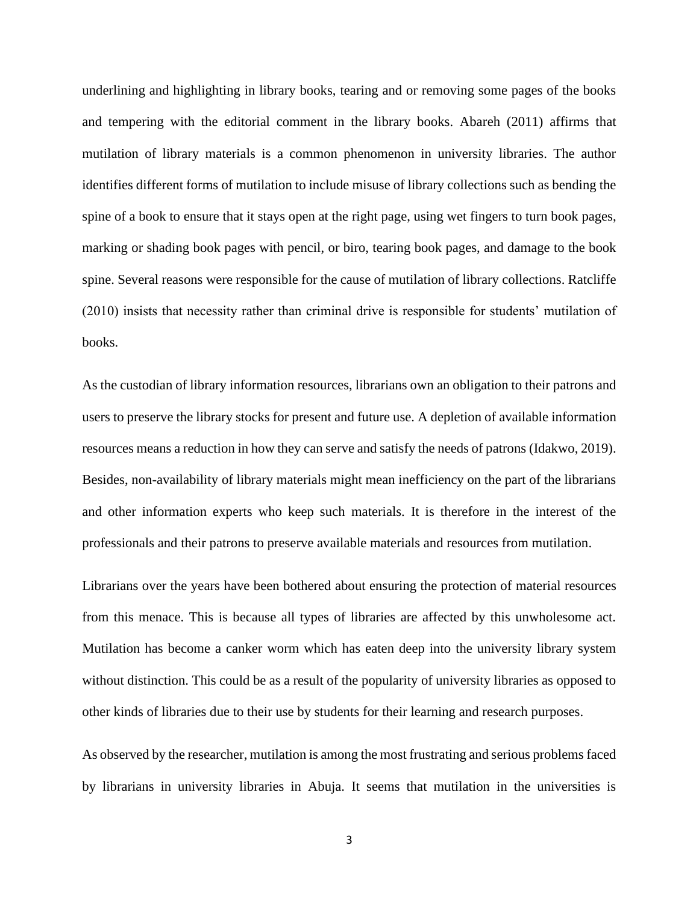underlining and highlighting in library books, tearing and or removing some pages of the books and tempering with the editorial comment in the library books. Abareh (2011) affirms that mutilation of library materials is a common phenomenon in university libraries. The author identifies different forms of mutilation to include misuse of library collections such as bending the spine of a book to ensure that it stays open at the right page, using wet fingers to turn book pages, marking or shading book pages with pencil, or biro, tearing book pages, and damage to the book spine. Several reasons were responsible for the cause of mutilation of library collections. Ratcliffe (2010) insists that necessity rather than criminal drive is responsible for students' mutilation of books.

As the custodian of library information resources, librarians own an obligation to their patrons and users to preserve the library stocks for present and future use. A depletion of available information resources means a reduction in how they can serve and satisfy the needs of patrons (Idakwo, 2019). Besides, non-availability of library materials might mean inefficiency on the part of the librarians and other information experts who keep such materials. It is therefore in the interest of the professionals and their patrons to preserve available materials and resources from mutilation.

Librarians over the years have been bothered about ensuring the protection of material resources from this menace. This is because all types of libraries are affected by this unwholesome act. Mutilation has become a canker worm which has eaten deep into the university library system without distinction. This could be as a result of the popularity of university libraries as opposed to other kinds of libraries due to their use by students for their learning and research purposes.

As observed by the researcher, mutilation is among the most frustrating and serious problems faced by librarians in university libraries in Abuja. It seems that mutilation in the universities is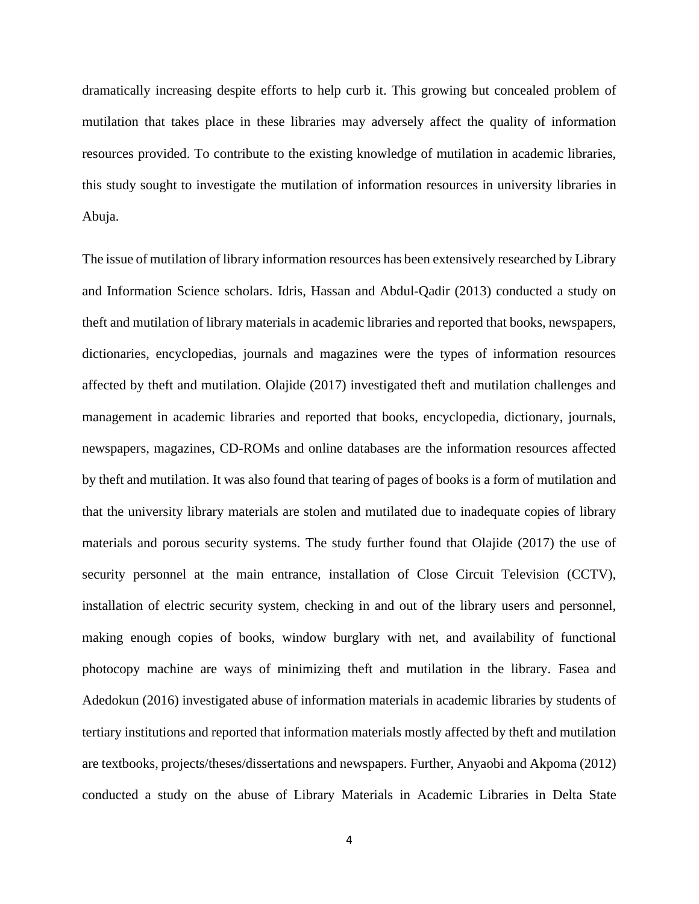dramatically increasing despite efforts to help curb it. This growing but concealed problem of mutilation that takes place in these libraries may adversely affect the quality of information resources provided. To contribute to the existing knowledge of mutilation in academic libraries, this study sought to investigate the mutilation of information resources in university libraries in Abuja.

The issue of mutilation of library information resources has been extensively researched by Library and Information Science scholars. Idris, Hassan and Abdul-Qadir (2013) conducted a study on theft and mutilation of library materials in academic libraries and reported that books, newspapers, dictionaries, encyclopedias, journals and magazines were the types of information resources affected by theft and mutilation. Olajide (2017) investigated theft and mutilation challenges and management in academic libraries and reported that books, encyclopedia, dictionary, journals, newspapers, magazines, CD-ROMs and online databases are the information resources affected by theft and mutilation. It was also found that tearing of pages of books is a form of mutilation and that the university library materials are stolen and mutilated due to inadequate copies of library materials and porous security systems. The study further found that Olajide (2017) the use of security personnel at the main entrance, installation of Close Circuit Television (CCTV), installation of electric security system, checking in and out of the library users and personnel, making enough copies of books, window burglary with net, and availability of functional photocopy machine are ways of minimizing theft and mutilation in the library. Fasea and Adedokun (2016) investigated abuse of information materials in academic libraries by students of tertiary institutions and reported that information materials mostly affected by theft and mutilation are textbooks, projects/theses/dissertations and newspapers. Further, Anyaobi and Akpoma (2012) conducted a study on the abuse of Library Materials in Academic Libraries in Delta State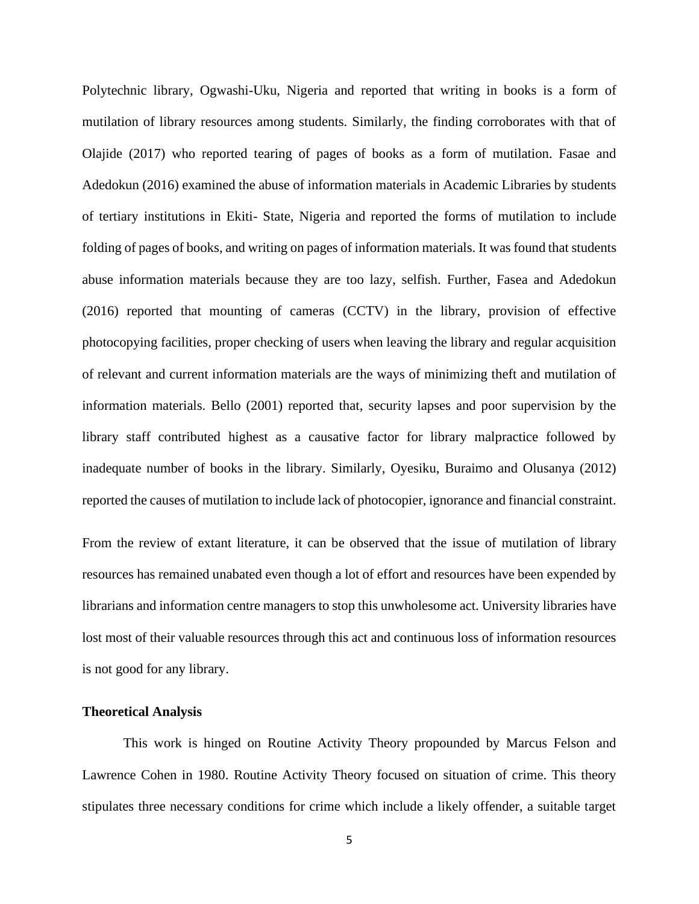Polytechnic library, Ogwashi-Uku, Nigeria and reported that writing in books is a form of mutilation of library resources among students. Similarly, the finding corroborates with that of Olajide (2017) who reported tearing of pages of books as a form of mutilation. Fasae and Adedokun (2016) examined the abuse of information materials in Academic Libraries by students of tertiary institutions in Ekiti- State, Nigeria and reported the forms of mutilation to include folding of pages of books, and writing on pages of information materials. It was found that students abuse information materials because they are too lazy, selfish. Further, Fasea and Adedokun (2016) reported that mounting of cameras (CCTV) in the library, provision of effective photocopying facilities, proper checking of users when leaving the library and regular acquisition of relevant and current information materials are the ways of minimizing theft and mutilation of information materials. Bello (2001) reported that, security lapses and poor supervision by the library staff contributed highest as a causative factor for library malpractice followed by inadequate number of books in the library. Similarly, Oyesiku, Buraimo and Olusanya (2012) reported the causes of mutilation to include lack of photocopier, ignorance and financial constraint.

From the review of extant literature, it can be observed that the issue of mutilation of library resources has remained unabated even though a lot of effort and resources have been expended by librarians and information centre managers to stop this unwholesome act. University libraries have lost most of their valuable resources through this act and continuous loss of information resources is not good for any library.

## **Theoretical Analysis**

This work is hinged on Routine Activity Theory propounded by Marcus Felson and Lawrence Cohen in 1980. Routine Activity Theory focused on situation of crime. This theory stipulates three necessary conditions for crime which include a likely offender, a suitable target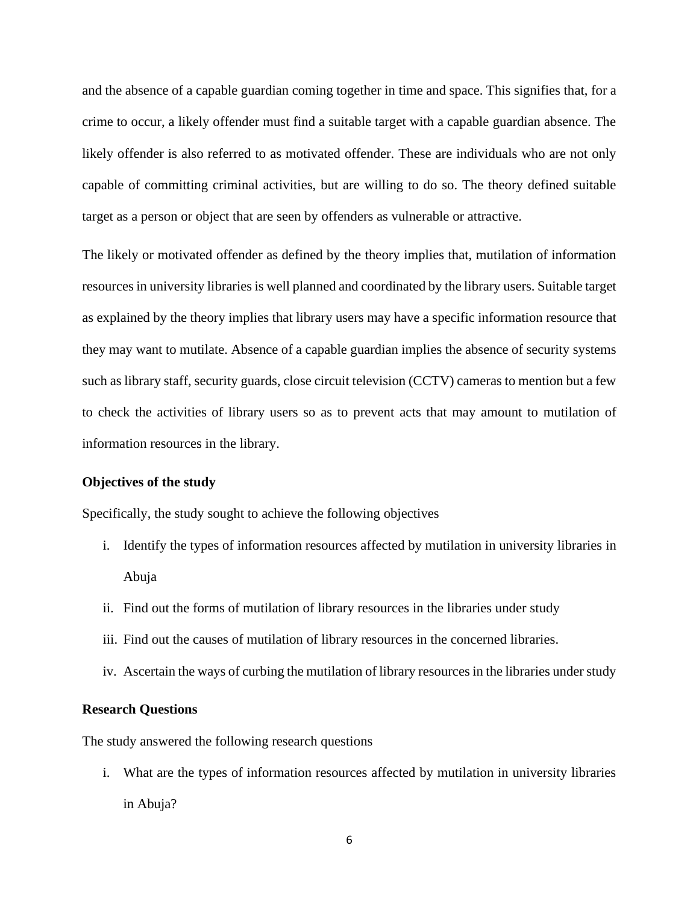and the absence of a capable guardian coming together in time and space. This signifies that, for a crime to occur, a likely offender must find a suitable target with a capable guardian absence. The likely offender is also referred to as motivated offender. These are individuals who are not only capable of committing criminal activities, but are willing to do so. The theory defined suitable target as a person or object that are seen by offenders as vulnerable or attractive.

The likely or motivated offender as defined by the theory implies that, mutilation of information resources in university libraries is well planned and coordinated by the library users. Suitable target as explained by the theory implies that library users may have a specific information resource that they may want to mutilate. Absence of a capable guardian implies the absence of security systems such as library staff, security guards, close circuit television (CCTV) cameras to mention but a few to check the activities of library users so as to prevent acts that may amount to mutilation of information resources in the library.

#### **Objectives of the study**

Specifically, the study sought to achieve the following objectives

- i. Identify the types of information resources affected by mutilation in university libraries in Abuja
- ii. Find out the forms of mutilation of library resources in the libraries under study
- iii. Find out the causes of mutilation of library resources in the concerned libraries.
- iv. Ascertain the ways of curbing the mutilation of library resources in the libraries under study

## **Research Questions**

The study answered the following research questions

i. What are the types of information resources affected by mutilation in university libraries in Abuja?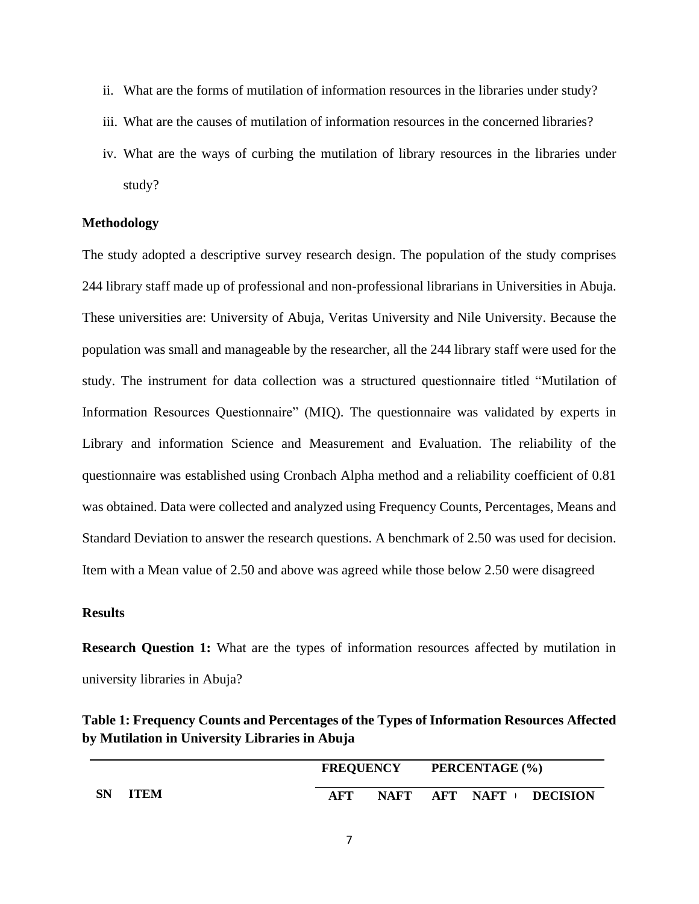- ii. What are the forms of mutilation of information resources in the libraries under study?
- iii. What are the causes of mutilation of information resources in the concerned libraries?
- iv. What are the ways of curbing the mutilation of library resources in the libraries under study?

## **Methodology**

The study adopted a descriptive survey research design. The population of the study comprises 244 library staff made up of professional and non-professional librarians in Universities in Abuja. These universities are: University of Abuja, Veritas University and Nile University. Because the population was small and manageable by the researcher, all the 244 library staff were used for the study. The instrument for data collection was a structured questionnaire titled "Mutilation of Information Resources Questionnaire" (MIQ). The questionnaire was validated by experts in Library and information Science and Measurement and Evaluation. The reliability of the questionnaire was established using Cronbach Alpha method and a reliability coefficient of 0.81 was obtained. Data were collected and analyzed using Frequency Counts, Percentages, Means and Standard Deviation to answer the research questions. A benchmark of 2.50 was used for decision. Item with a Mean value of 2.50 and above was agreed while those below 2.50 were disagreed

## **Results**

**Research Question 1:** What are the types of information resources affected by mutilation in university libraries in Abuja?

| Table 1: Frequency Counts and Percentages of the Types of Information Resources Affected |
|------------------------------------------------------------------------------------------|
| by Mutilation in University Libraries in Abuja                                           |

|                   |     | <b>FREQUENCY</b> |     | PERCENTAGE (%) |                 |
|-------------------|-----|------------------|-----|----------------|-----------------|
| SN<br><b>ITEM</b> | AFT | <b>NAFT</b>      | AFT | NAFT           | <b>DECISION</b> |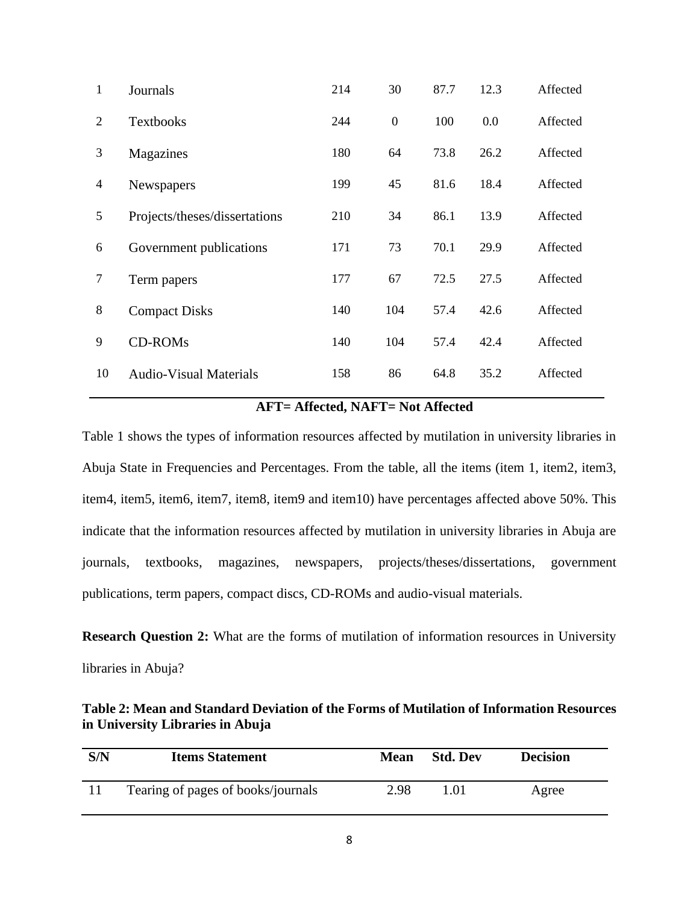| $\mathbf{1}$   | Journals                      | 214 | 30               | 87.7 | 12.3 | Affected |
|----------------|-------------------------------|-----|------------------|------|------|----------|
| 2              | <b>Textbooks</b>              | 244 | $\boldsymbol{0}$ | 100  | 0.0  | Affected |
| 3              | Magazines                     | 180 | 64               | 73.8 | 26.2 | Affected |
| 4              | Newspapers                    | 199 | 45               | 81.6 | 18.4 | Affected |
| 5              | Projects/theses/dissertations | 210 | 34               | 86.1 | 13.9 | Affected |
| 6              | Government publications       | 171 | 73               | 70.1 | 29.9 | Affected |
| $\overline{7}$ | Term papers                   | 177 | 67               | 72.5 | 27.5 | Affected |
| 8              | <b>Compact Disks</b>          | 140 | 104              | 57.4 | 42.6 | Affected |
| 9              | <b>CD-ROMs</b>                | 140 | 104              | 57.4 | 42.4 | Affected |
| 10             | <b>Audio-Visual Materials</b> | 158 | 86               | 64.8 | 35.2 | Affected |

## **AFT= Affected, NAFT= Not Affected**

Table 1 shows the types of information resources affected by mutilation in university libraries in Abuja State in Frequencies and Percentages. From the table, all the items (item 1, item2, item3, item4, item5, item6, item7, item8, item9 and item10) have percentages affected above 50%. This indicate that the information resources affected by mutilation in university libraries in Abuja are journals, textbooks, magazines, newspapers, projects/theses/dissertations, government publications, term papers, compact discs, CD-ROMs and audio-visual materials.

**Research Question 2:** What are the forms of mutilation of information resources in University libraries in Abuja?

| Table 2: Mean and Standard Deviation of the Forms of Mutilation of Information Resources |
|------------------------------------------------------------------------------------------|
| in University Libraries in Abuja                                                         |

| S/N | <b>Items Statement</b>             | Mean | <b>Std. Dev</b> | <b>Decision</b> |
|-----|------------------------------------|------|-----------------|-----------------|
|     | Tearing of pages of books/journals | 2.98 | 1.01            | Agree           |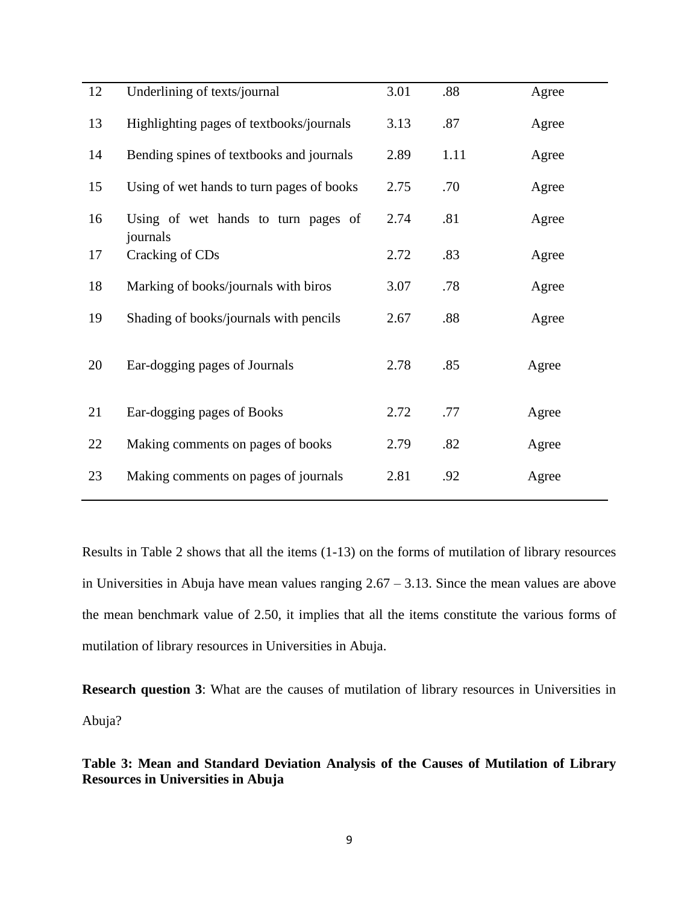| 12 | Underlining of texts/journal                    | 3.01 | $.88$ | Agree |
|----|-------------------------------------------------|------|-------|-------|
| 13 | Highlighting pages of textbooks/journals        | 3.13 | .87   | Agree |
| 14 | Bending spines of textbooks and journals        | 2.89 | 1.11  | Agree |
| 15 | Using of wet hands to turn pages of books       | 2.75 | .70   | Agree |
| 16 | Using of wet hands to turn pages of<br>journals | 2.74 | .81   | Agree |
| 17 | Cracking of CDs                                 | 2.72 | .83   | Agree |
| 18 | Marking of books/journals with biros            | 3.07 | .78   | Agree |
| 19 | Shading of books/journals with pencils          | 2.67 | .88   | Agree |
| 20 | Ear-dogging pages of Journals                   | 2.78 | .85   | Agree |
| 21 | Ear-dogging pages of Books                      | 2.72 | .77   | Agree |
| 22 | Making comments on pages of books               | 2.79 | .82   | Agree |
| 23 | Making comments on pages of journals            | 2.81 | .92   | Agree |
|    |                                                 |      |       |       |

Results in Table 2 shows that all the items (1-13) on the forms of mutilation of library resources in Universities in Abuja have mean values ranging  $2.67 - 3.13$ . Since the mean values are above the mean benchmark value of 2.50, it implies that all the items constitute the various forms of mutilation of library resources in Universities in Abuja.

**Research question 3**: What are the causes of mutilation of library resources in Universities in Abuja?

**Table 3: Mean and Standard Deviation Analysis of the Causes of Mutilation of Library Resources in Universities in Abuja**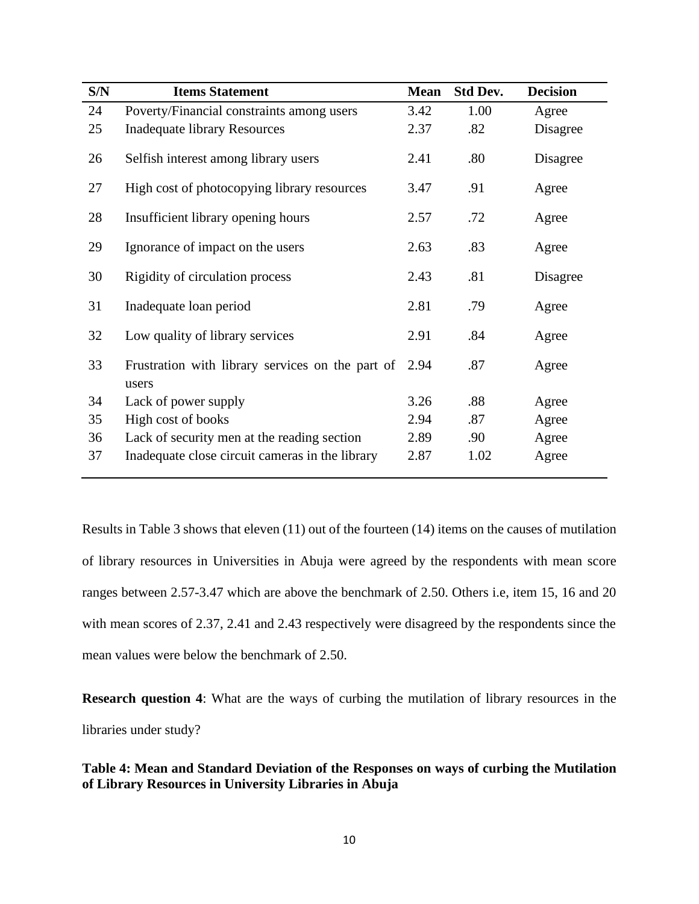| S/N | <b>Items Statement</b>                                    | <b>Mean</b> | <b>Std Dev.</b> | <b>Decision</b> |
|-----|-----------------------------------------------------------|-------------|-----------------|-----------------|
| 24  | Poverty/Financial constraints among users                 | 3.42        | 1.00            | Agree           |
| 25  | <b>Inadequate library Resources</b>                       | 2.37        | .82             | Disagree        |
| 26  | Selfish interest among library users                      | 2.41        | .80             | Disagree        |
| 27  | High cost of photocopying library resources               | 3.47        | .91             | Agree           |
| 28  | Insufficient library opening hours                        | 2.57        | .72             | Agree           |
| 29  | Ignorance of impact on the users                          | 2.63        | .83             | Agree           |
| 30  | Rigidity of circulation process                           | 2.43        | .81             | Disagree        |
| 31  | Inadequate loan period                                    | 2.81        | .79             | Agree           |
| 32  | Low quality of library services                           | 2.91        | .84             | Agree           |
| 33  | Frustration with library services on the part of<br>users | 2.94        | .87             | Agree           |
| 34  | Lack of power supply                                      | 3.26        | .88             | Agree           |
| 35  | High cost of books                                        | 2.94        | .87             | Agree           |
| 36  | Lack of security men at the reading section               | 2.89        | .90             | Agree           |
| 37  | Inadequate close circuit cameras in the library           | 2.87        | 1.02            | Agree           |

Results in Table 3 shows that eleven (11) out of the fourteen (14) items on the causes of mutilation of library resources in Universities in Abuja were agreed by the respondents with mean score ranges between 2.57-3.47 which are above the benchmark of 2.50. Others i.e, item 15, 16 and 20 with mean scores of 2.37, 2.41 and 2.43 respectively were disagreed by the respondents since the mean values were below the benchmark of 2.50.

**Research question 4**: What are the ways of curbing the mutilation of library resources in the libraries under study?

## **Table 4: Mean and Standard Deviation of the Responses on ways of curbing the Mutilation of Library Resources in University Libraries in Abuja**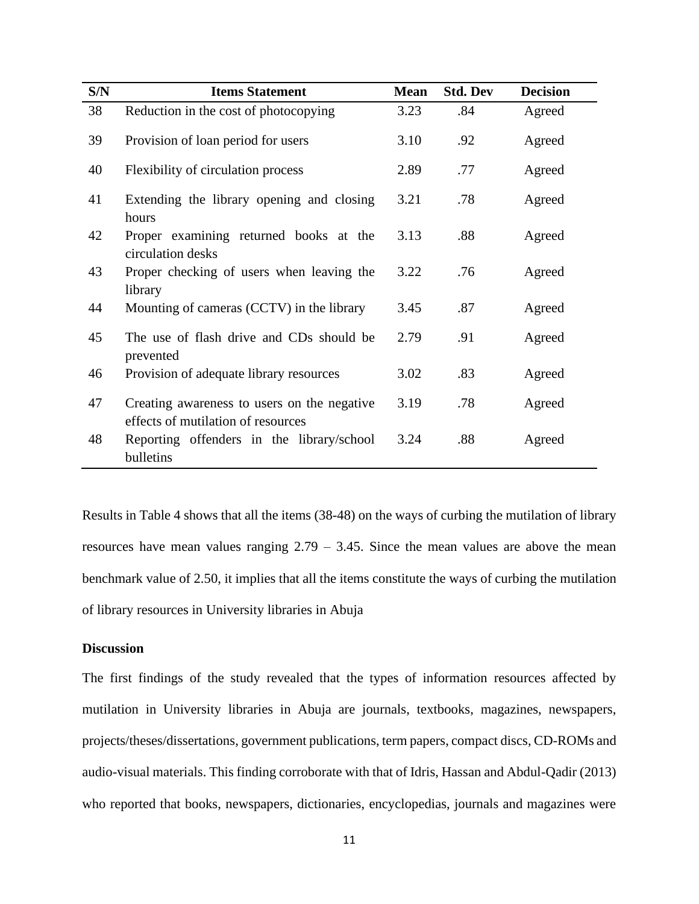| S/N | <b>Items Statement</b>                                                            | <b>Mean</b> | <b>Std. Dev</b> | <b>Decision</b> |
|-----|-----------------------------------------------------------------------------------|-------------|-----------------|-----------------|
| 38  | Reduction in the cost of photocopying                                             | 3.23        | .84             | Agreed          |
| 39  | Provision of loan period for users                                                | 3.10        | .92             | Agreed          |
| 40  | Flexibility of circulation process                                                | 2.89        | .77             | Agreed          |
| 41  | Extending the library opening and closing<br>hours                                | 3.21        | .78             | Agreed          |
| 42  | Proper examining returned books at the<br>circulation desks                       | 3.13        | .88             | Agreed          |
| 43  | Proper checking of users when leaving the<br>library                              | 3.22        | .76             | Agreed          |
| 44  | Mounting of cameras (CCTV) in the library                                         | 3.45        | .87             | Agreed          |
| 45  | The use of flash drive and CDs should be<br>prevented                             | 2.79        | .91             | Agreed          |
| 46  | Provision of adequate library resources                                           | 3.02        | .83             | Agreed          |
| 47  | Creating awareness to users on the negative<br>effects of mutilation of resources | 3.19        | .78             | Agreed          |
| 48  | Reporting offenders in the library/school<br>bulletins                            | 3.24        | .88             | Agreed          |

Results in Table 4 shows that all the items (38-48) on the ways of curbing the mutilation of library resources have mean values ranging  $2.79 - 3.45$ . Since the mean values are above the mean benchmark value of 2.50, it implies that all the items constitute the ways of curbing the mutilation of library resources in University libraries in Abuja

## **Discussion**

The first findings of the study revealed that the types of information resources affected by mutilation in University libraries in Abuja are journals, textbooks, magazines, newspapers, projects/theses/dissertations, government publications, term papers, compact discs, CD-ROMs and audio-visual materials. This finding corroborate with that of Idris, Hassan and Abdul-Qadir (2013) who reported that books, newspapers, dictionaries, encyclopedias, journals and magazines were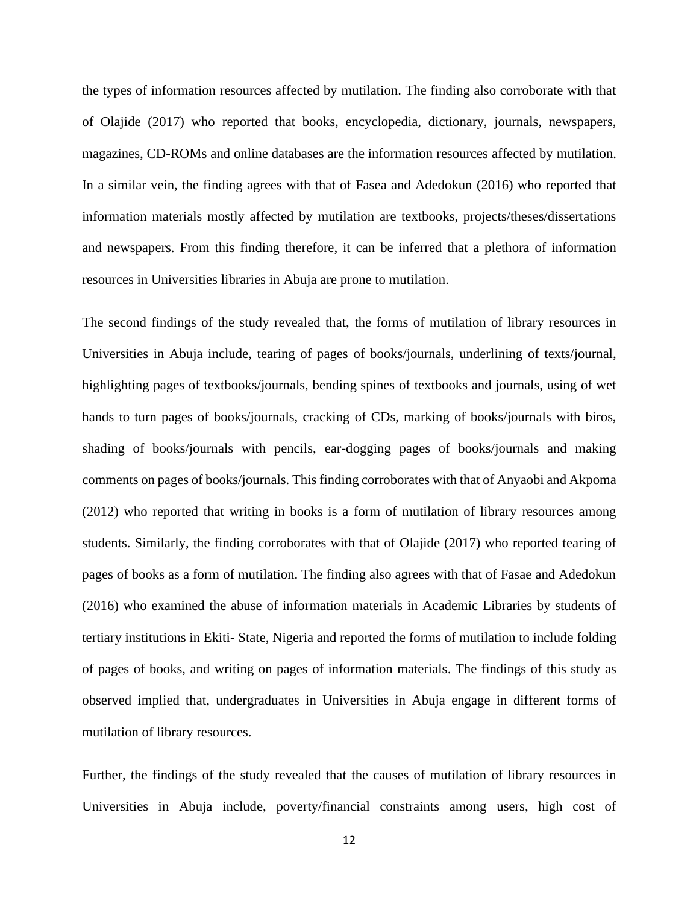the types of information resources affected by mutilation. The finding also corroborate with that of Olajide (2017) who reported that books, encyclopedia, dictionary, journals, newspapers, magazines, CD-ROMs and online databases are the information resources affected by mutilation. In a similar vein, the finding agrees with that of Fasea and Adedokun (2016) who reported that information materials mostly affected by mutilation are textbooks, projects/theses/dissertations and newspapers. From this finding therefore, it can be inferred that a plethora of information resources in Universities libraries in Abuja are prone to mutilation.

The second findings of the study revealed that, the forms of mutilation of library resources in Universities in Abuja include, tearing of pages of books/journals, underlining of texts/journal, highlighting pages of textbooks/journals, bending spines of textbooks and journals, using of wet hands to turn pages of books/journals, cracking of CDs, marking of books/journals with biros, shading of books/journals with pencils, ear-dogging pages of books/journals and making comments on pages of books/journals. This finding corroborates with that of Anyaobi and Akpoma (2012) who reported that writing in books is a form of mutilation of library resources among students. Similarly, the finding corroborates with that of Olajide (2017) who reported tearing of pages of books as a form of mutilation. The finding also agrees with that of Fasae and Adedokun (2016) who examined the abuse of information materials in Academic Libraries by students of tertiary institutions in Ekiti- State, Nigeria and reported the forms of mutilation to include folding of pages of books, and writing on pages of information materials. The findings of this study as observed implied that, undergraduates in Universities in Abuja engage in different forms of mutilation of library resources.

Further, the findings of the study revealed that the causes of mutilation of library resources in Universities in Abuja include, poverty/financial constraints among users, high cost of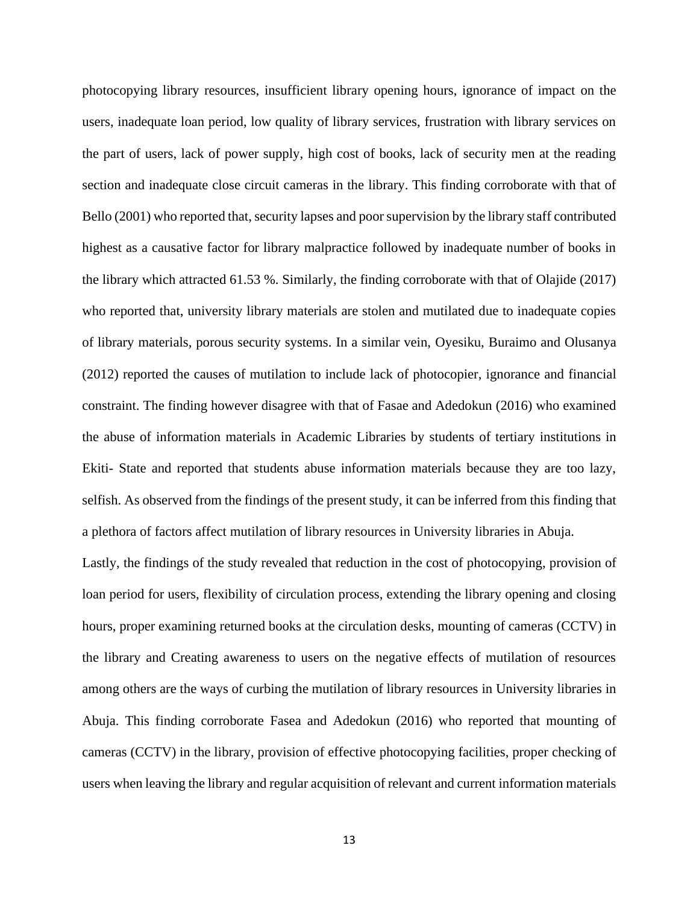photocopying library resources, insufficient library opening hours, ignorance of impact on the users, inadequate loan period, low quality of library services, frustration with library services on the part of users, lack of power supply, high cost of books, lack of security men at the reading section and inadequate close circuit cameras in the library. This finding corroborate with that of Bello (2001) who reported that, security lapses and poor supervision by the library staff contributed highest as a causative factor for library malpractice followed by inadequate number of books in the library which attracted 61.53 %. Similarly, the finding corroborate with that of Olajide (2017) who reported that, university library materials are stolen and mutilated due to inadequate copies of library materials, porous security systems. In a similar vein, Oyesiku, Buraimo and Olusanya (2012) reported the causes of mutilation to include lack of photocopier, ignorance and financial constraint. The finding however disagree with that of Fasae and Adedokun (2016) who examined the abuse of information materials in Academic Libraries by students of tertiary institutions in Ekiti- State and reported that students abuse information materials because they are too lazy, selfish. As observed from the findings of the present study, it can be inferred from this finding that a plethora of factors affect mutilation of library resources in University libraries in Abuja.

Lastly, the findings of the study revealed that reduction in the cost of photocopying, provision of loan period for users, flexibility of circulation process, extending the library opening and closing hours, proper examining returned books at the circulation desks, mounting of cameras (CCTV) in the library and Creating awareness to users on the negative effects of mutilation of resources among others are the ways of curbing the mutilation of library resources in University libraries in Abuja. This finding corroborate Fasea and Adedokun (2016) who reported that mounting of cameras (CCTV) in the library, provision of effective photocopying facilities, proper checking of users when leaving the library and regular acquisition of relevant and current information materials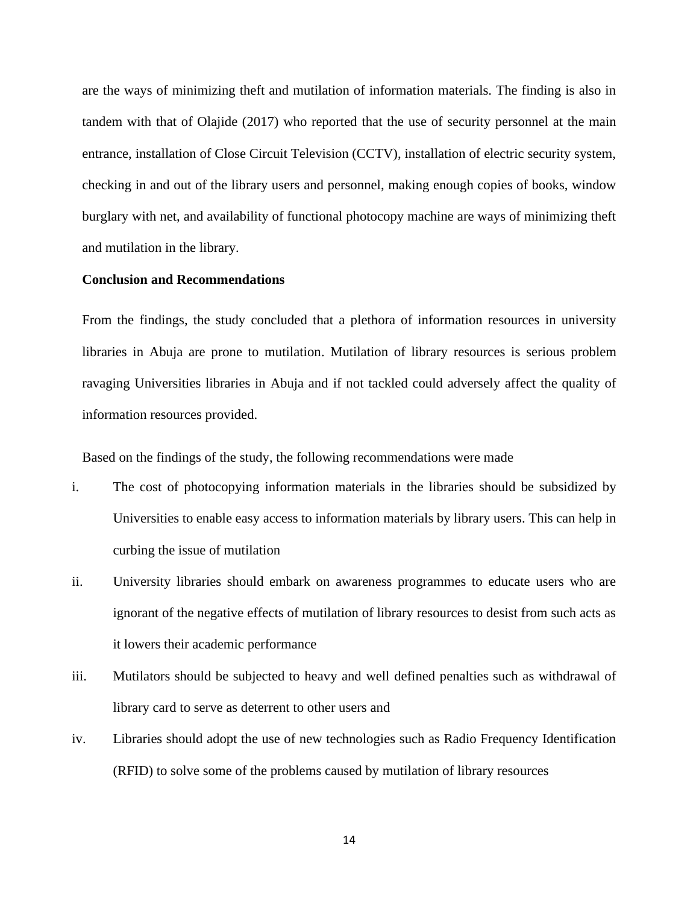are the ways of minimizing theft and mutilation of information materials. The finding is also in tandem with that of Olajide (2017) who reported that the use of security personnel at the main entrance, installation of Close Circuit Television (CCTV), installation of electric security system, checking in and out of the library users and personnel, making enough copies of books, window burglary with net, and availability of functional photocopy machine are ways of minimizing theft and mutilation in the library.

## **Conclusion and Recommendations**

From the findings, the study concluded that a plethora of information resources in university libraries in Abuja are prone to mutilation. Mutilation of library resources is serious problem ravaging Universities libraries in Abuja and if not tackled could adversely affect the quality of information resources provided.

Based on the findings of the study, the following recommendations were made

- i. The cost of photocopying information materials in the libraries should be subsidized by Universities to enable easy access to information materials by library users. This can help in curbing the issue of mutilation
- ii. University libraries should embark on awareness programmes to educate users who are ignorant of the negative effects of mutilation of library resources to desist from such acts as it lowers their academic performance
- iii. Mutilators should be subjected to heavy and well defined penalties such as withdrawal of library card to serve as deterrent to other users and
- iv. Libraries should adopt the use of new technologies such as Radio Frequency Identification (RFID) to solve some of the problems caused by mutilation of library resources

14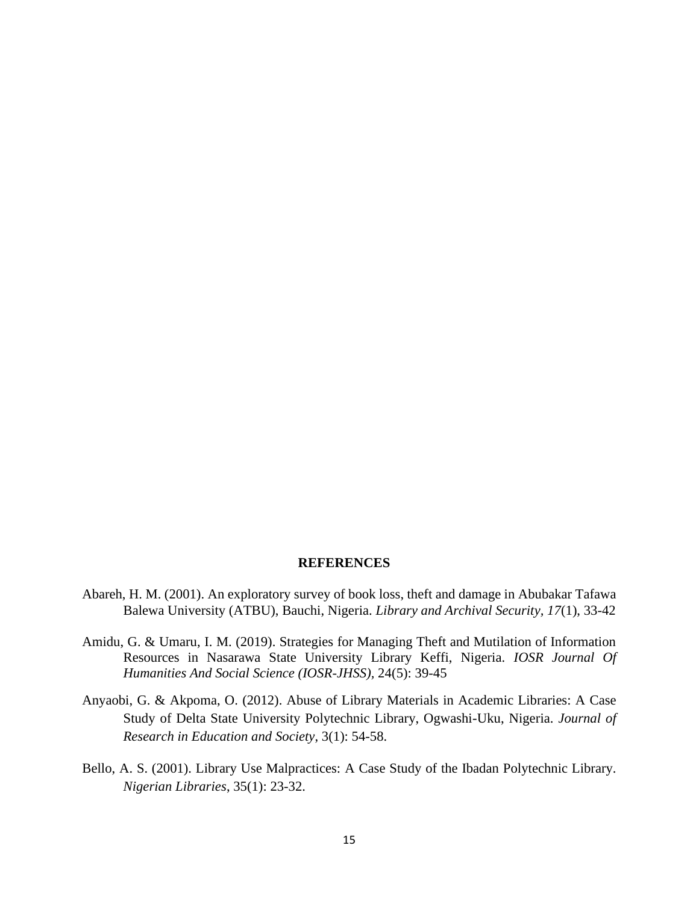#### **REFERENCES**

- Abareh, H. M. (2001). An exploratory survey of book loss, theft and damage in Abubakar Tafawa Balewa University (ATBU), Bauchi, Nigeria. *Library and Archival Security, 17*(1), 33-42
- Amidu, G. & Umaru, I. M. (2019). Strategies for Managing Theft and Mutilation of Information Resources in Nasarawa State University Library Keffi, Nigeria. *IOSR Journal Of Humanities And Social Science (IOSR-JHSS),* 24(5): 39-45
- Anyaobi, G. & Akpoma, O. (2012). Abuse of Library Materials in Academic Libraries: A Case Study of Delta State University Polytechnic Library, Ogwashi-Uku, Nigeria. *Journal of Research in Education and Society*, 3(1): 54-58.
- Bello, A. S. (2001). Library Use Malpractices: A Case Study of the Ibadan Polytechnic Library. *Nigerian Libraries*, 35(1): 23-32.